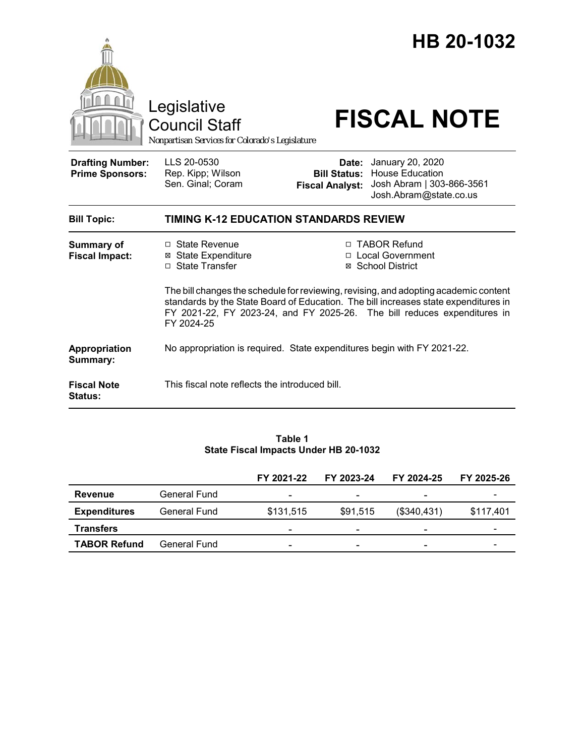

#### **Table 1 State Fiscal Impacts Under HB 20-1032**

|                     |              | FY 2021-22 | FY 2023-24               | FY 2024-25               | FY 2025-26 |
|---------------------|--------------|------------|--------------------------|--------------------------|------------|
| <b>Revenue</b>      | General Fund |            | $\overline{\phantom{0}}$ |                          |            |
| <b>Expenditures</b> | General Fund | \$131,515  | \$91,515                 | (\$340,431)              | \$117,401  |
| <b>Transfers</b>    |              |            | ۰                        | -                        |            |
| <b>TABOR Refund</b> | General Fund |            | ۰                        | $\overline{\phantom{0}}$ |            |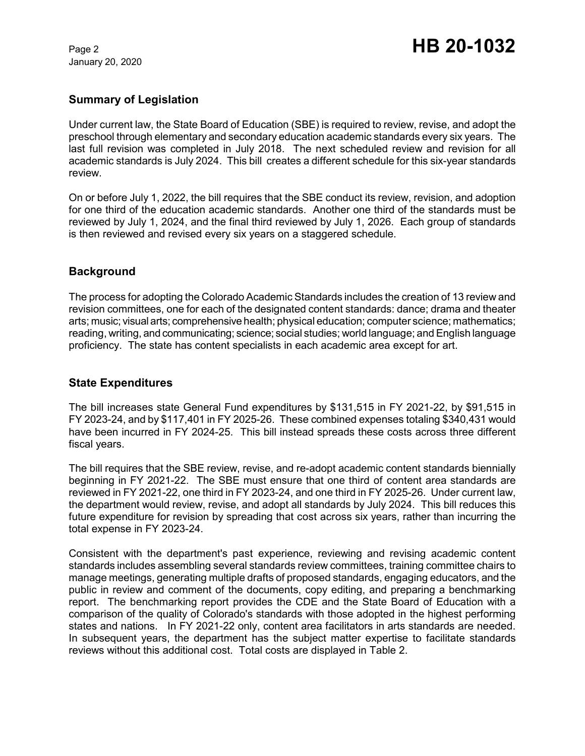January 20, 2020

# **Summary of Legislation**

Under current law, the State Board of Education (SBE) is required to review, revise, and adopt the preschool through elementary and secondary education academic standards every six years. The last full revision was completed in July 2018. The next scheduled review and revision for all academic standards is July 2024. This bill creates a different schedule for this six-year standards review.

On or before July 1, 2022, the bill requires that the SBE conduct its review, revision, and adoption for one third of the education academic standards. Another one third of the standards must be reviewed by July 1, 2024, and the final third reviewed by July 1, 2026. Each group of standards is then reviewed and revised every six years on a staggered schedule.

# **Background**

The process for adopting the Colorado Academic Standards includes the creation of 13 review and revision committees, one for each of the designated content standards: dance; drama and theater arts; music; visual arts; comprehensive health; physical education; computer science; mathematics; reading, writing, and communicating; science; social studies; world language; and English language proficiency. The state has content specialists in each academic area except for art.

# **State Expenditures**

The bill increases state General Fund expenditures by \$131,515 in FY 2021-22, by \$91,515 in FY 2023-24, and by \$117,401 in FY 2025-26. These combined expenses totaling \$340,431 would have been incurred in FY 2024-25. This bill instead spreads these costs across three different fiscal years.

The bill requires that the SBE review, revise, and re-adopt academic content standards biennially beginning in FY 2021-22. The SBE must ensure that one third of content area standards are reviewed in FY 2021-22, one third in FY 2023-24, and one third in FY 2025-26. Under current law, the department would review, revise, and adopt all standards by July 2024. This bill reduces this future expenditure for revision by spreading that cost across six years, rather than incurring the total expense in FY 2023-24.

Consistent with the department's past experience, reviewing and revising academic content standards includes assembling several standards review committees, training committee chairs to manage meetings, generating multiple drafts of proposed standards, engaging educators, and the public in review and comment of the documents, copy editing, and preparing a benchmarking report. The benchmarking report provides the CDE and the State Board of Education with a comparison of the quality of Colorado's standards with those adopted in the highest performing states and nations. In FY 2021-22 only, content area facilitators in arts standards are needed. In subsequent years, the department has the subject matter expertise to facilitate standards reviews without this additional cost. Total costs are displayed in Table 2.